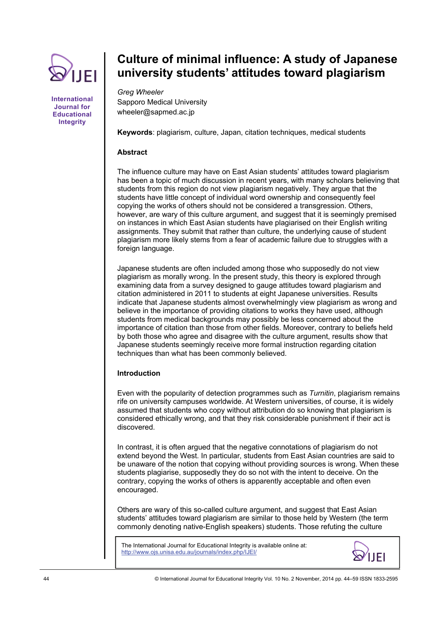

**International Journal for Educational Integrity** 

# **Culture of minimal influence: A study of Japanese university students' attitudes toward plagiarism**

*Greg Wheeler*  Sapporo Medical University wheeler@sapmed.ac.jp

**Keywords**: plagiarism, culture, Japan, citation techniques, medical students

# **Abstract**

The influence culture may have on East Asian students' attitudes toward plagiarism has been a topic of much discussion in recent years, with many scholars believing that students from this region do not view plagiarism negatively. They argue that the students have little concept of individual word ownership and consequently feel copying the works of others should not be considered a transgression. Others, however, are wary of this culture argument, and suggest that it is seemingly premised on instances in which East Asian students have plagiarised on their English writing assignments. They submit that rather than culture, the underlying cause of student plagiarism more likely stems from a fear of academic failure due to struggles with a foreign language.

Japanese students are often included among those who supposedly do not view plagiarism as morally wrong. In the present study, this theory is explored through examining data from a survey designed to gauge attitudes toward plagiarism and citation administered in 2011 to students at eight Japanese universities. Results indicate that Japanese students almost overwhelmingly view plagiarism as wrong and believe in the importance of providing citations to works they have used, although students from medical backgrounds may possibly be less concerned about the importance of citation than those from other fields. Moreover, contrary to beliefs held by both those who agree and disagree with the culture argument, results show that Japanese students seemingly receive more formal instruction regarding citation techniques than what has been commonly believed.

# **Introduction**

Even with the popularity of detection programmes such as *Turnitin*, plagiarism remains rife on university campuses worldwide. At Western universities, of course, it is widely assumed that students who copy without attribution do so knowing that plagiarism is considered ethically wrong, and that they risk considerable punishment if their act is discovered.

In contrast, it is often argued that the negative connotations of plagiarism do not extend beyond the West. In particular, students from East Asian countries are said to be unaware of the notion that copying without providing sources is wrong. When these students plagiarise, supposedly they do so not with the intent to deceive. On the contrary, copying the works of others is apparently acceptable and often even encouraged.

Others are wary of this so-called culture argument, and suggest that East Asian students' attitudes toward plagiarism are similar to those held by Western (the term commonly denoting native-English speakers) students. Those refuting the culture

The International Journal for Educational Integrity is available online at: http://www.ojs.unisa.edu.au/journals/index.php/IJEI/

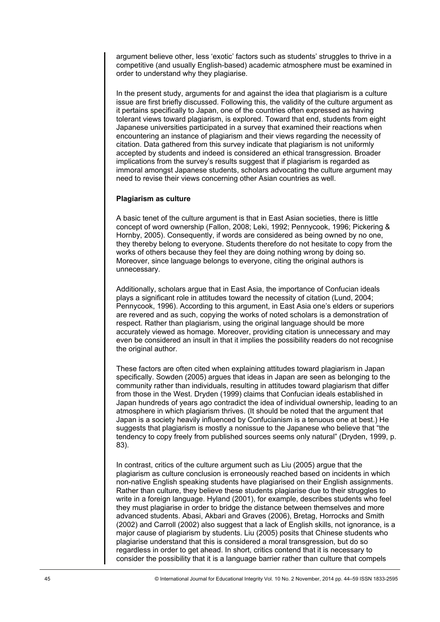argument believe other, less 'exotic' factors such as students' struggles to thrive in a competitive (and usually English-based) academic atmosphere must be examined in order to understand why they plagiarise.

In the present study, arguments for and against the idea that plagiarism is a culture issue are first briefly discussed. Following this, the validity of the culture argument as it pertains specifically to Japan, one of the countries often expressed as having tolerant views toward plagiarism, is explored. Toward that end, students from eight Japanese universities participated in a survey that examined their reactions when encountering an instance of plagiarism and their views regarding the necessity of citation. Data gathered from this survey indicate that plagiarism is not uniformly accepted by students and indeed is considered an ethical transgression. Broader implications from the survey's results suggest that if plagiarism is regarded as immoral amongst Japanese students, scholars advocating the culture argument may need to revise their views concerning other Asian countries as well.

# **Plagiarism as culture**

A basic tenet of the culture argument is that in East Asian societies, there is little concept of word ownership (Fallon, 2008; Leki, 1992; Pennycook, 1996; Pickering & Hornby, 2005). Consequently, if words are considered as being owned by no one, they thereby belong to everyone. Students therefore do not hesitate to copy from the works of others because they feel they are doing nothing wrong by doing so. Moreover, since language belongs to everyone, citing the original authors is unnecessary.

Additionally, scholars argue that in East Asia, the importance of Confucian ideals plays a significant role in attitudes toward the necessity of citation (Lund, 2004; Pennycook, 1996). According to this argument, in East Asia one's elders or superiors are revered and as such, copying the works of noted scholars is a demonstration of respect. Rather than plagiarism, using the original language should be more accurately viewed as homage. Moreover, providing citation is unnecessary and may even be considered an insult in that it implies the possibility readers do not recognise the original author.

These factors are often cited when explaining attitudes toward plagiarism in Japan specifically. Sowden (2005) argues that ideas in Japan are seen as belonging to the community rather than individuals, resulting in attitudes toward plagiarism that differ from those in the West. Dryden (1999) claims that Confucian ideals established in Japan hundreds of years ago contradict the idea of individual ownership, leading to an atmosphere in which plagiarism thrives. (It should be noted that the argument that Japan is a society heavily influenced by Confucianism is a tenuous one at best.) He suggests that plagiarism is mostly a nonissue to the Japanese who believe that "the tendency to copy freely from published sources seems only natural" (Dryden, 1999, p. 83).

In contrast, critics of the culture argument such as Liu (2005) argue that the plagiarism as culture conclusion is erroneously reached based on incidents in which non-native English speaking students have plagiarised on their English assignments. Rather than culture, they believe these students plagiarise due to their struggles to write in a foreign language. Hyland (2001), for example, describes students who feel they must plagiarise in order to bridge the distance between themselves and more advanced students. Abasi, Akbari and Graves (2006), Bretag, Horrocks and Smith (2002) and Carroll (2002) also suggest that a lack of English skills, not ignorance, is a major cause of plagiarism by students. Liu (2005) posits that Chinese students who plagiarise understand that this is considered a moral transgression, but do so regardless in order to get ahead. In short, critics contend that it is necessary to consider the possibility that it is a language barrier rather than culture that compels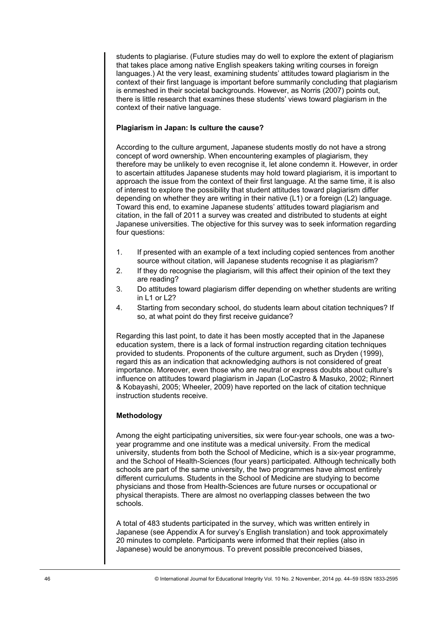students to plagiarise. (Future studies may do well to explore the extent of plagiarism that takes place among native English speakers taking writing courses in foreign languages.) At the very least, examining students' attitudes toward plagiarism in the context of their first language is important before summarily concluding that plagiarism is enmeshed in their societal backgrounds. However, as Norris (2007) points out, there is little research that examines these students' views toward plagiarism in the context of their native language.

# **Plagiarism in Japan: Is culture the cause?**

According to the culture argument, Japanese students mostly do not have a strong concept of word ownership. When encountering examples of plagiarism, they therefore may be unlikely to even recognise it, let alone condemn it. However, in order to ascertain attitudes Japanese students may hold toward plagiarism, it is important to approach the issue from the context of their first language. At the same time, it is also of interest to explore the possibility that student attitudes toward plagiarism differ depending on whether they are writing in their native (L1) or a foreign (L2) language. Toward this end, to examine Japanese students' attitudes toward plagiarism and citation, in the fall of 2011 a survey was created and distributed to students at eight Japanese universities. The objective for this survey was to seek information regarding four questions:

- 1. If presented with an example of a text including copied sentences from another source without citation, will Japanese students recognise it as plagiarism?
- 2. If they do recognise the plagiarism, will this affect their opinion of the text they are reading?
- 3. Do attitudes toward plagiarism differ depending on whether students are writing in  $11$  or  $122$
- 4. Starting from secondary school, do students learn about citation techniques? If so, at what point do they first receive guidance?

Regarding this last point, to date it has been mostly accepted that in the Japanese education system, there is a lack of formal instruction regarding citation techniques provided to students. Proponents of the culture argument, such as Dryden (1999), regard this as an indication that acknowledging authors is not considered of great importance. Moreover, even those who are neutral or express doubts about culture's influence on attitudes toward plagiarism in Japan (LoCastro & Masuko, 2002; Rinnert & Kobayashi, 2005; Wheeler, 2009) have reported on the lack of citation technique instruction students receive.

# **Methodology**

Among the eight participating universities, six were four-year schools, one was a twoyear programme and one institute was a medical university. From the medical university, students from both the School of Medicine, which is a six-year programme, and the School of Health-Sciences (four years) participated. Although technically both schools are part of the same university, the two programmes have almost entirely different curriculums. Students in the School of Medicine are studying to become physicians and those from Health-Sciences are future nurses or occupational or physical therapists. There are almost no overlapping classes between the two schools.

A total of 483 students participated in the survey, which was written entirely in Japanese (see Appendix A for survey's English translation) and took approximately 20 minutes to complete. Participants were informed that their replies (also in Japanese) would be anonymous. To prevent possible preconceived biases,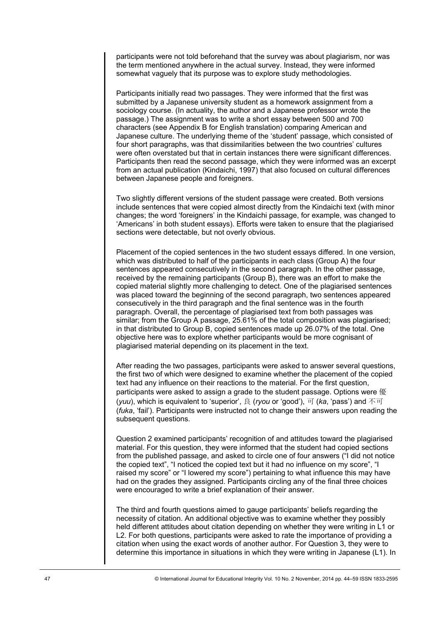participants were not told beforehand that the survey was about plagiarism, nor was the term mentioned anywhere in the actual survey. Instead, they were informed somewhat vaguely that its purpose was to explore study methodologies.

Participants initially read two passages. They were informed that the first was submitted by a Japanese university student as a homework assignment from a sociology course. (In actuality, the author and a Japanese professor wrote the passage.) The assignment was to write a short essay between 500 and 700 characters (see Appendix B for English translation) comparing American and Japanese culture. The underlying theme of the 'student' passage, which consisted of four short paragraphs, was that dissimilarities between the two countries' cultures were often overstated but that in certain instances there were significant differences. Participants then read the second passage, which they were informed was an excerpt from an actual publication (Kindaichi, 1997) that also focused on cultural differences between Japanese people and foreigners.

Two slightly different versions of the student passage were created. Both versions include sentences that were copied almost directly from the Kindaichi text (with minor changes; the word 'foreigners' in the Kindaichi passage, for example, was changed to 'Americans' in both student essays). Efforts were taken to ensure that the plagiarised sections were detectable, but not overly obvious.

Placement of the copied sentences in the two student essays differed. In one version, which was distributed to half of the participants in each class (Group A) the four sentences appeared consecutively in the second paragraph. In the other passage, received by the remaining participants (Group B), there was an effort to make the copied material slightly more challenging to detect. One of the plagiarised sentences was placed toward the beginning of the second paragraph, two sentences appeared consecutively in the third paragraph and the final sentence was in the fourth paragraph. Overall, the percentage of plagiarised text from both passages was similar; from the Group A passage, 25.61% of the total composition was plagiarised; in that distributed to Group B, copied sentences made up 26.07% of the total. One objective here was to explore whether participants would be more cognisant of plagiarised material depending on its placement in the text.

After reading the two passages, participants were asked to answer several questions, the first two of which were designed to examine whether the placement of the copied text had any influence on their reactions to the material. For the first question, participants were asked to assign a grade to the student passage. Options were 優 (*yuu*), which is equivalent to 'superior', 良 (*ryou* or 'good'), 可 (*ka*, 'pass') and 不可 (*fuka*, 'fail'). Participants were instructed not to change their answers upon reading the subsequent questions.

Question 2 examined participants' recognition of and attitudes toward the plagiarised material. For this question, they were informed that the student had copied sections from the published passage, and asked to circle one of four answers ("I did not notice the copied text", "I noticed the copied text but it had no influence on my score", "I raised my score" or "I lowered my score") pertaining to what influence this may have had on the grades they assigned. Participants circling any of the final three choices were encouraged to write a brief explanation of their answer.

The third and fourth questions aimed to gauge participants' beliefs regarding the necessity of citation. An additional objective was to examine whether they possibly held different attitudes about citation depending on whether they were writing in L1 or L2. For both questions, participants were asked to rate the importance of providing a citation when using the exact words of another author. For Question 3, they were to determine this importance in situations in which they were writing in Japanese (L1). In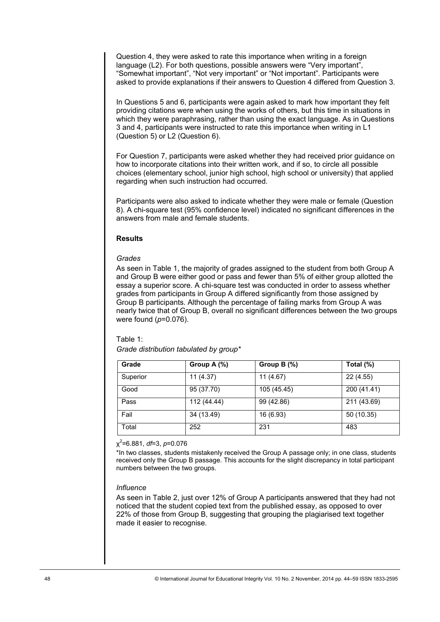Question 4, they were asked to rate this importance when writing in a foreign language (L2). For both questions, possible answers were "Very important", "Somewhat important", "Not very important" or "Not important". Participants were asked to provide explanations if their answers to Question 4 differed from Question 3.

In Questions 5 and 6, participants were again asked to mark how important they felt providing citations were when using the works of others, but this time in situations in which they were paraphrasing, rather than using the exact language. As in Questions 3 and 4, participants were instructed to rate this importance when writing in L1 (Question 5) or L2 (Question 6).

For Question 7, participants were asked whether they had received prior guidance on how to incorporate citations into their written work, and if so, to circle all possible choices (elementary school, junior high school, high school or university) that applied regarding when such instruction had occurred.

Participants were also asked to indicate whether they were male or female (Question 8). A chi-square test (95% confidence level) indicated no significant differences in the answers from male and female students.

# **Results**

# *Grades*

As seen in Table 1, the majority of grades assigned to the student from both Group A and Group B were either good or pass and fewer than 5% of either group allotted the essay a superior score. A chi-square test was conducted in order to assess whether grades from participants in Group A differed significantly from those assigned by Group B participants. Although the percentage of failing marks from Group A was nearly twice that of Group B, overall no significant differences between the two groups were found (*p*=0.076).

# Table 1:

*Grade distribution tabulated by group\** 

| Grade                                                                                                                                                                                                                                                                                          | Group A (%) | Group B (%) | Total (%)                                                                                               |  |
|------------------------------------------------------------------------------------------------------------------------------------------------------------------------------------------------------------------------------------------------------------------------------------------------|-------------|-------------|---------------------------------------------------------------------------------------------------------|--|
| Superior                                                                                                                                                                                                                                                                                       | 11(4.37)    | 11(4.67)    | 22 (4.55)                                                                                               |  |
| Good                                                                                                                                                                                                                                                                                           | 95 (37.70)  | 105 (45.45) | 200 (41.41)                                                                                             |  |
| Pass                                                                                                                                                                                                                                                                                           | 112 (44.44) | 99 (42.86)  | 211 (43.69)                                                                                             |  |
| Fail                                                                                                                                                                                                                                                                                           | 34 (13.49)  | 16 (6.93)   | 50 (10.35)                                                                                              |  |
| Total                                                                                                                                                                                                                                                                                          | 252         | 231         | 483                                                                                                     |  |
| numbers between the two groups.<br><i>Influence</i>                                                                                                                                                                                                                                            |             |             | received only the Group B passage. This accounts for the slight discrepancy in total participant        |  |
| As seen in Table 2, just over 12% of Group A participants answered that they had not<br>noticed that the student copied text from the published essay, as opposed to over<br>22% of those from Group B, suggesting that grouping the plagiarised text together<br>made it easier to recognise. |             |             |                                                                                                         |  |
|                                                                                                                                                                                                                                                                                                |             |             | © International Journal for Educational Integrity Vol. 10 No. 2 November, 2014 pp. 44-59 ISSN 1833-2595 |  |

## χ2 =6.881, *df*=3, *p*=0.076

# *Influence*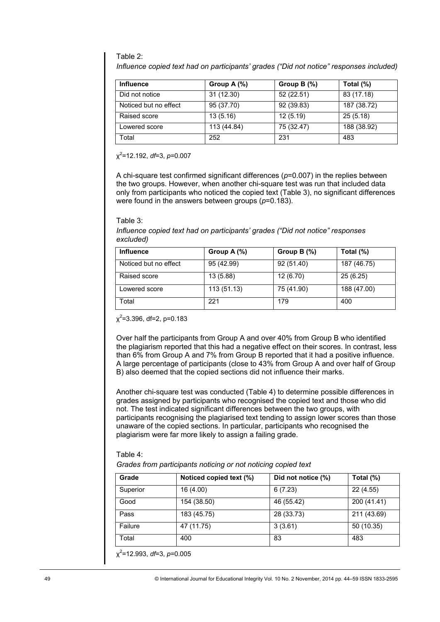# Table 2:

*Influence copied text had on participants' grades ("Did not notice" responses included)* 

| <b>Influence</b>      | Group A $(\%)$ | Group $B(\%)$ | Total (%)   |
|-----------------------|----------------|---------------|-------------|
| Did not notice        | 31(12.30)      | 52 (22.51)    | 83 (17.18)  |
| Noticed but no effect | 95 (37.70)     | 92 (39.83)    | 187 (38.72) |
| Raised score          | 13(5.16)       | 12(5.19)      | 25(5.18)    |
| Lowered score         | 113 (44.84)    | 75 (32.47)    | 188 (38.92) |
| Total                 | 252            | 231           | 483         |

#### Table 3:

| <b>Influence</b>      | Group A $(\%)$ | Group B $(%)$ | Total $(\%)$ |
|-----------------------|----------------|---------------|--------------|
| Noticed but no effect | 95 (42.99)     | 92 (51.40)    | 187 (46.75)  |
| Raised score          | 13 (5.88)      | 12 (6.70)     | 25(6.25)     |
| Lowered score         | 113(51.13)     | 75 (41.90)    | 188 (47.00)  |
| Total                 | 221            | 179           | 400          |

## Table 4:

| <b>Influence</b>                                                                                                                                                                                                                                                                                                                                                                    |             | Group A (%)             | Group B (%)             | Total (%)                                                                                                                                                                                                                                                                                                                                                                                                                                                                                                                                        |
|-------------------------------------------------------------------------------------------------------------------------------------------------------------------------------------------------------------------------------------------------------------------------------------------------------------------------------------------------------------------------------------|-------------|-------------------------|-------------------------|--------------------------------------------------------------------------------------------------------------------------------------------------------------------------------------------------------------------------------------------------------------------------------------------------------------------------------------------------------------------------------------------------------------------------------------------------------------------------------------------------------------------------------------------------|
| Did not notice                                                                                                                                                                                                                                                                                                                                                                      |             | 31(12.30)               | 52(22.51)               | 83(17.18)                                                                                                                                                                                                                                                                                                                                                                                                                                                                                                                                        |
| Noticed but no effect                                                                                                                                                                                                                                                                                                                                                               |             | 95(37.70)               | 92 (39.83)              | 187 (38.72)                                                                                                                                                                                                                                                                                                                                                                                                                                                                                                                                      |
| Raised score                                                                                                                                                                                                                                                                                                                                                                        |             | 13(5.16)                | 12(5.19)                | 25(5.18)                                                                                                                                                                                                                                                                                                                                                                                                                                                                                                                                         |
| Lowered score                                                                                                                                                                                                                                                                                                                                                                       |             | 113 (44.84)             | $\overline{75}$ (32.47) | 188 (38.92)                                                                                                                                                                                                                                                                                                                                                                                                                                                                                                                                      |
| Total                                                                                                                                                                                                                                                                                                                                                                               |             | 252                     | 231                     | 483                                                                                                                                                                                                                                                                                                                                                                                                                                                                                                                                              |
| $x^2$ =12.192, df=3, p=0.007                                                                                                                                                                                                                                                                                                                                                        |             |                         |                         |                                                                                                                                                                                                                                                                                                                                                                                                                                                                                                                                                  |
| were found in the answers between groups ( $p=0.183$ ).                                                                                                                                                                                                                                                                                                                             |             |                         |                         | A chi-square test confirmed significant differences ( $p=0.007$ ) in the replies between<br>the two groups. However, when another chi-square test was run that included data<br>only from participants who noticed the copied text (Table 3), no significant differences                                                                                                                                                                                                                                                                         |
| Table 3:<br>Influence copied text had on participants' grades ("Did not notice" responses<br>excluded)                                                                                                                                                                                                                                                                              |             |                         |                         |                                                                                                                                                                                                                                                                                                                                                                                                                                                                                                                                                  |
| Influence                                                                                                                                                                                                                                                                                                                                                                           |             | Group A (%)             | Group B (%)             | Total (%)                                                                                                                                                                                                                                                                                                                                                                                                                                                                                                                                        |
| Noticed but no effect                                                                                                                                                                                                                                                                                                                                                               |             | 95 (42.99)              | 92 (51.40)              | 187 (46.75)                                                                                                                                                                                                                                                                                                                                                                                                                                                                                                                                      |
| Raised score                                                                                                                                                                                                                                                                                                                                                                        |             | 13 (5.88)               | 12 (6.70)               | 25 (6.25)                                                                                                                                                                                                                                                                                                                                                                                                                                                                                                                                        |
| Lowered score                                                                                                                                                                                                                                                                                                                                                                       |             | 113 (51.13)             | 75 (41.90)              | 188 (47.00)                                                                                                                                                                                                                                                                                                                                                                                                                                                                                                                                      |
| Total                                                                                                                                                                                                                                                                                                                                                                               |             | 221                     | 179                     | 400                                                                                                                                                                                                                                                                                                                                                                                                                                                                                                                                              |
| B) also deemed that the copied sections did not influence their marks.<br>not. The test indicated significant differences between the two groups, with<br>unaware of the copied sections. In particular, participants who recognised the<br>plagiarism were far more likely to assign a failing grade.<br>Table 4:<br>Grades from participants noticing or not noticing copied text |             |                         |                         | the plagiarism reported that this had a negative effect on their scores. In contrast, less<br>than 6% from Group A and 7% from Group B reported that it had a positive influence.<br>A large percentage of participants (close to 43% from Group A and over half of Group<br>Another chi-square test was conducted (Table 4) to determine possible differences in<br>grades assigned by participants who recognised the copied text and those who did<br>participants recognising the plagiarised text tending to assign lower scores than those |
| Grade                                                                                                                                                                                                                                                                                                                                                                               |             | Noticed copied text (%) | Did not notice (%)      | Total $(\sqrt[6]{6})$                                                                                                                                                                                                                                                                                                                                                                                                                                                                                                                            |
| Superior                                                                                                                                                                                                                                                                                                                                                                            | 16 (4.00)   |                         | 6(7.23)                 | 22 (4.55)                                                                                                                                                                                                                                                                                                                                                                                                                                                                                                                                        |
| Good                                                                                                                                                                                                                                                                                                                                                                                | 154 (38.50) |                         | 46 (55.42)              | 200(41.41)                                                                                                                                                                                                                                                                                                                                                                                                                                                                                                                                       |
| Pass                                                                                                                                                                                                                                                                                                                                                                                | 183 (45.75) |                         | 28 (33.73)              | 211 (43.69)                                                                                                                                                                                                                                                                                                                                                                                                                                                                                                                                      |
| Failure                                                                                                                                                                                                                                                                                                                                                                             | 47(11.75)   |                         | 3(3.61)                 | 50 (10.35)                                                                                                                                                                                                                                                                                                                                                                                                                                                                                                                                       |
| Total                                                                                                                                                                                                                                                                                                                                                                               | 400         |                         | 83                      | 483                                                                                                                                                                                                                                                                                                                                                                                                                                                                                                                                              |
| $x^2$ =12.993, df=3, p=0.005                                                                                                                                                                                                                                                                                                                                                        |             |                         |                         | © International Journal for Educational Integrity Vol. 10 No. 2 November, 2014 pp. 44-59 ISSN 1833-2595                                                                                                                                                                                                                                                                                                                                                                                                                                          |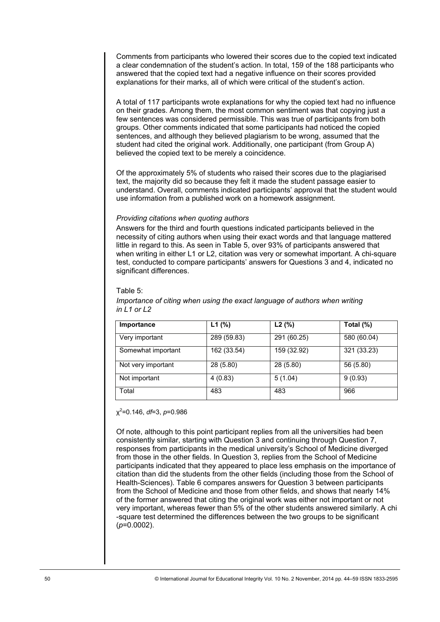Comments from participants who lowered their scores due to the copied text indicated a clear condemnation of the student's action. In total, 159 of the 188 participants who answered that the copied text had a negative influence on their scores provided explanations for their marks, all of which were critical of the student's action.

A total of 117 participants wrote explanations for why the copied text had no influence on their grades. Among them, the most common sentiment was that copying just a few sentences was considered permissible. This was true of participants from both groups. Other comments indicated that some participants had noticed the copied sentences, and although they believed plagiarism to be wrong, assumed that the student had cited the original work. Additionally, one participant (from Group A) believed the copied text to be merely a coincidence.

Of the approximately 5% of students who raised their scores due to the plagiarised text, the majority did so because they felt it made the student passage easier to understand. Overall, comments indicated participants' approval that the student would use information from a published work on a homework assignment.

## *Providing citations when quoting authors*

Answers for the third and fourth questions indicated participants believed in the necessity of citing authors when using their exact words and that language mattered little in regard to this. As seen in Table 5, over 93% of participants answered that when writing in either L1 or L2, citation was very or somewhat important. A chi-square test, conducted to compare participants' answers for Questions 3 and 4, indicated no significant differences.

#### Table 5:

| Importance         | L1(%)       | L2(%)       | Total $(\%)$ |
|--------------------|-------------|-------------|--------------|
| Very important     | 289 (59.83) | 291 (60.25) | 580 (60.04)  |
| Somewhat important | 162 (33.54) | 159 (32.92) | 321 (33.23)  |
| Not very important | 28 (5.80)   | 28 (5.80)   | 56 (5.80)    |
| Not important      | 4(0.83)     | 5(1.04)     | 9(0.93)      |
| Total              | 483         | 483         | 966          |

*Importance of citing when using the exact language of authors when writing in L1 or L2* 

#### χ2 =0.146, *df*=3, *p*=0.986

Of note, although to this point participant replies from all the universities had been consistently similar, starting with Question 3 and continuing through Question 7, responses from participants in the medical university's School of Medicine diverged from those in the other fields. In Question 3, replies from the School of Medicine participants indicated that they appeared to place less emphasis on the importance of citation than did the students from the other fields (including those from the School of Health-Sciences). Table 6 compares answers for Question 3 between participants from the School of Medicine and those from other fields, and shows that nearly 14% of the former answered that citing the original work was either not important or not very important, whereas fewer than 5% of the other students answered similarly. A chi -square test determined the differences between the two groups to be significant (*p*=0.0002). Importance L1 (%) L2 (%) Total (%)<br>
Somewhat important 162 (33.54) 159 (32.92) 321 (33.2:<br>
Not very important 28 (5.80) 28 (5.80) 56 (5.80)<br>
Not important 4 (0.83) 5 (1.04) 9 (0.93)<br>
Total 483 483 483 9 966<br>
2 -0.146, *df*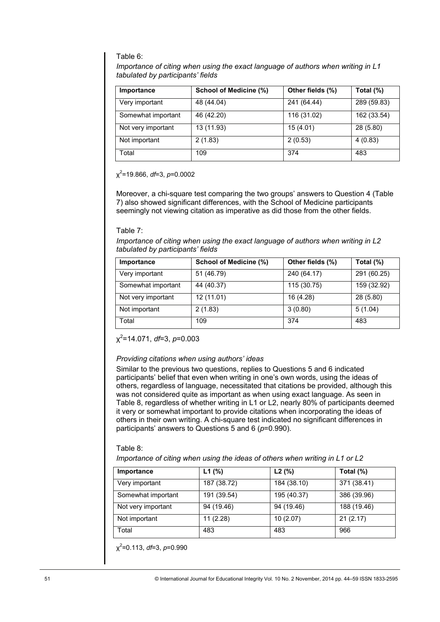## Table 6:

*Importance of citing when using the exact language of authors when writing in L1 tabulated by participants' fields* 

| Importance                                                                                                                                                                                                                                                                                                                                                                                                                                                                                                                                                                                                                                                                                                                                                             | <b>School of Medicine (%)</b>                                                                                                                                                                                                                              | Other fields (%) | Total (%)   |  |
|------------------------------------------------------------------------------------------------------------------------------------------------------------------------------------------------------------------------------------------------------------------------------------------------------------------------------------------------------------------------------------------------------------------------------------------------------------------------------------------------------------------------------------------------------------------------------------------------------------------------------------------------------------------------------------------------------------------------------------------------------------------------|------------------------------------------------------------------------------------------------------------------------------------------------------------------------------------------------------------------------------------------------------------|------------------|-------------|--|
| Very important                                                                                                                                                                                                                                                                                                                                                                                                                                                                                                                                                                                                                                                                                                                                                         | 48 (44.04)                                                                                                                                                                                                                                                 | 241(64.44)       | 289 (59.83) |  |
| Somewhat important                                                                                                                                                                                                                                                                                                                                                                                                                                                                                                                                                                                                                                                                                                                                                     | 46 (42.20)                                                                                                                                                                                                                                                 | 116(31.02)       | 162 (33.54) |  |
| Not very important                                                                                                                                                                                                                                                                                                                                                                                                                                                                                                                                                                                                                                                                                                                                                     | 13 (11.93)                                                                                                                                                                                                                                                 | 15(4.01)         | 28 (5.80)   |  |
| Not important                                                                                                                                                                                                                                                                                                                                                                                                                                                                                                                                                                                                                                                                                                                                                          | 2(1.83)                                                                                                                                                                                                                                                    | 2(0.53)          | 4(0.83)     |  |
| Total                                                                                                                                                                                                                                                                                                                                                                                                                                                                                                                                                                                                                                                                                                                                                                  | 109                                                                                                                                                                                                                                                        | 374              | 483         |  |
| $x^2$ =19.866, df=3, p=0.0002                                                                                                                                                                                                                                                                                                                                                                                                                                                                                                                                                                                                                                                                                                                                          | Moreover, a chi-square test comparing the two groups' answers to Question 4 (Table<br>7) also showed significant differences, with the School of Medicine participants<br>seemingly not viewing citation as imperative as did those from the other fields. |                  |             |  |
|                                                                                                                                                                                                                                                                                                                                                                                                                                                                                                                                                                                                                                                                                                                                                                        |                                                                                                                                                                                                                                                            |                  |             |  |
| Table 7:<br>tabulated by participants' fields                                                                                                                                                                                                                                                                                                                                                                                                                                                                                                                                                                                                                                                                                                                          | Importance of citing when using the exact language of authors when writing in L2                                                                                                                                                                           |                  |             |  |
| Importance                                                                                                                                                                                                                                                                                                                                                                                                                                                                                                                                                                                                                                                                                                                                                             | <b>School of Medicine (%)</b>                                                                                                                                                                                                                              | Other fields (%) | Total (%)   |  |
| Very important                                                                                                                                                                                                                                                                                                                                                                                                                                                                                                                                                                                                                                                                                                                                                         | 51(46.79)                                                                                                                                                                                                                                                  | 240(64.17)       | 291 (60.25) |  |
| Somewhat important                                                                                                                                                                                                                                                                                                                                                                                                                                                                                                                                                                                                                                                                                                                                                     | 44 (40.37)                                                                                                                                                                                                                                                 | 115 (30.75)      | 159 (32.92) |  |
| Not very important                                                                                                                                                                                                                                                                                                                                                                                                                                                                                                                                                                                                                                                                                                                                                     | 12(11.01)                                                                                                                                                                                                                                                  | 16(4.28)         | 28 (5.80)   |  |
| Not important                                                                                                                                                                                                                                                                                                                                                                                                                                                                                                                                                                                                                                                                                                                                                          | 2(1.83)                                                                                                                                                                                                                                                    | 3(0.80)          | 5(1.04)     |  |
| Total                                                                                                                                                                                                                                                                                                                                                                                                                                                                                                                                                                                                                                                                                                                                                                  | 109                                                                                                                                                                                                                                                        | 374              | 483         |  |
| $x^2$ =14.071, df=3, p=0.003<br>Providing citations when using authors' ideas<br>Similar to the previous two questions, replies to Questions 5 and 6 indicated<br>participants' belief that even when writing in one's own words, using the ideas of<br>others, regardless of language, necessitated that citations be provided, although this<br>was not considered quite as important as when using exact language. As seen in<br>Table 8, regardless of whether writing in L1 or L2, nearly 80% of participants deemed<br>it very or somewhat important to provide citations when incorporating the ideas of<br>others in their own writing. A chi-square test indicated no significant differences in<br>participants' answers to Questions 5 and 6 ( $p=0.990$ ). |                                                                                                                                                                                                                                                            |                  |             |  |
| Table 8:                                                                                                                                                                                                                                                                                                                                                                                                                                                                                                                                                                                                                                                                                                                                                               |                                                                                                                                                                                                                                                            |                  |             |  |
|                                                                                                                                                                                                                                                                                                                                                                                                                                                                                                                                                                                                                                                                                                                                                                        | Importance of citing when using the ideas of others when writing in L1 or L2                                                                                                                                                                               |                  |             |  |
| Importance                                                                                                                                                                                                                                                                                                                                                                                                                                                                                                                                                                                                                                                                                                                                                             | $L1$ (%)                                                                                                                                                                                                                                                   | L2(%)            | Total (%)   |  |
| Very important                                                                                                                                                                                                                                                                                                                                                                                                                                                                                                                                                                                                                                                                                                                                                         | 187 (38.72)                                                                                                                                                                                                                                                | 184 (38.10)      | 371 (38.41) |  |
| Somewhat important                                                                                                                                                                                                                                                                                                                                                                                                                                                                                                                                                                                                                                                                                                                                                     | 191 (39.54)                                                                                                                                                                                                                                                | 195 (40.37)      | 386 (39.96) |  |
| Not very important                                                                                                                                                                                                                                                                                                                                                                                                                                                                                                                                                                                                                                                                                                                                                     | 94 (19.46)                                                                                                                                                                                                                                                 | 94 (19.46)       | 188 (19.46) |  |
| Not important                                                                                                                                                                                                                                                                                                                                                                                                                                                                                                                                                                                                                                                                                                                                                          | 11(2.28)                                                                                                                                                                                                                                                   | 10(2.07)         | 21(2.17)    |  |
| Total                                                                                                                                                                                                                                                                                                                                                                                                                                                                                                                                                                                                                                                                                                                                                                  | 483                                                                                                                                                                                                                                                        | 483              | 966         |  |
| $x^2$ =0.113, df=3, p=0.990<br>© International Journal for Educational Integrity Vol. 10 No. 2 November, 2014 pp. 44-59 ISSN 1833-2595                                                                                                                                                                                                                                                                                                                                                                                                                                                                                                                                                                                                                                 |                                                                                                                                                                                                                                                            |                  |             |  |

#### Table 7:

| Importance         | School of Medicine (%) | Other fields (%) | Total $(\%)$ |
|--------------------|------------------------|------------------|--------------|
| Very important     | 51 (46.79)             | 240 (64.17)      | 291 (60.25)  |
| Somewhat important | 44 (40.37)             | 115 (30.75)      | 159 (32.92)  |
| Not very important | 12 (11.01)             | 16 (4.28)        | 28 (5.80)    |
| Not important      | 2(1.83)                | 3(0.80)          | 5(1.04)      |
| Total              | 109                    | 374              | 483          |

## *Providing citations when using authors' ideas*

## Table 8:

| Importance         | $L1$ (%)    | L2(%)       | Total $(\%)$ |
|--------------------|-------------|-------------|--------------|
| Very important     | 187 (38.72) | 184 (38.10) | 371 (38.41)  |
| Somewhat important | 191 (39.54) | 195 (40.37) | 386 (39.96)  |
| Not very important | 94 (19.46)  | 94 (19.46)  | 188 (19.46)  |
| Not important      | 11 (2.28)   | 10(2.07)    | 21(2.17)     |
| Total              | 483         | 483         | 966          |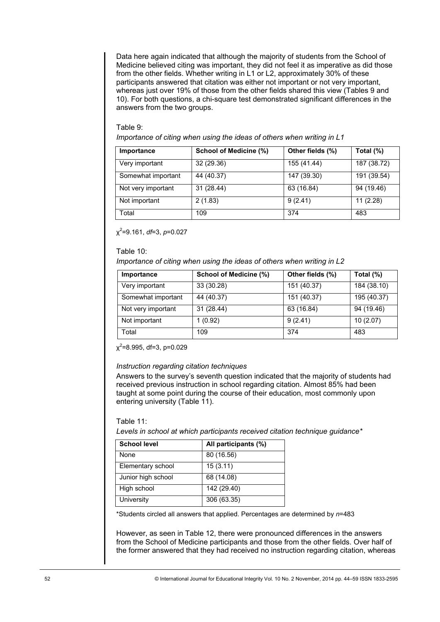Data here again indicated that although the majority of students from the School of Medicine believed citing was important, they did not feel it as imperative as did those from the other fields. Whether writing in L1 or L2, approximately 30% of these participants answered that citation was either not important or not very important, whereas just over 19% of those from the other fields shared this view (Tables 9 and 10). For both questions, a chi-square test demonstrated significant differences in the answers from the two groups.

## Table 9:

*Importance of citing when using the ideas of others when writing in L1* 

| Importance                                   | School of Medicine (%)                                                                                                                                                                                                                                                                                                                               | Other fields (%) | Total (%)   |
|----------------------------------------------|------------------------------------------------------------------------------------------------------------------------------------------------------------------------------------------------------------------------------------------------------------------------------------------------------------------------------------------------------|------------------|-------------|
| Very important                               | 32 (29.36)                                                                                                                                                                                                                                                                                                                                           | 155 (41.44)      | 187 (38.72) |
| Somewhat important                           | 44 (40.37)                                                                                                                                                                                                                                                                                                                                           | 147 (39.30)      | 191 (39.54) |
| Not very important                           | 31 (28.44)                                                                                                                                                                                                                                                                                                                                           | 63(16.84)        | 94 (19.46)  |
| Not important                                | 2(1.83)                                                                                                                                                                                                                                                                                                                                              | 9(2.41)          | 11(2.28)    |
| Total                                        | 109                                                                                                                                                                                                                                                                                                                                                  | 374              | 483         |
| $x^2$ =9.161, df=3, p=0.027<br>Table 10:     | Importance of citing when using the ideas of others when writing in L2                                                                                                                                                                                                                                                                               |                  |             |
| Importance                                   | School of Medicine (%)                                                                                                                                                                                                                                                                                                                               | Other fields (%) | Total (%)   |
| Very important                               | 33 (30.28)                                                                                                                                                                                                                                                                                                                                           | 151 (40.37)      | 184 (38.10) |
| Somewhat important                           | 44 (40.37)                                                                                                                                                                                                                                                                                                                                           | 151 (40.37)      | 195 (40.37) |
| Not very important                           | 31 (28.44)                                                                                                                                                                                                                                                                                                                                           | 63(16.84)        | 94 (19.46)  |
| Not important                                | 1(0.92)                                                                                                                                                                                                                                                                                                                                              | 9(2.41)          | 10(2.07)    |
| Total                                        | 109                                                                                                                                                                                                                                                                                                                                                  | 374              | 483         |
| entering university (Table 11).<br>Table 11: | Answers to the survey's seventh question indicated that the majority of students had<br>received previous instruction in school regarding citation. Almost 85% had been<br>taught at some point during the course of their education, most commonly upon<br>Levels in school at which participants received citation technique guidance*             |                  |             |
| <b>School level</b>                          | All participants (%)                                                                                                                                                                                                                                                                                                                                 |                  |             |
| None                                         | 80(16.56)                                                                                                                                                                                                                                                                                                                                            |                  |             |
| Elementary school                            | 15(3.11)                                                                                                                                                                                                                                                                                                                                             |                  |             |
| Junior high school                           | 68 (14.08)                                                                                                                                                                                                                                                                                                                                           |                  |             |
| High school                                  | 142 (29.40)                                                                                                                                                                                                                                                                                                                                          |                  |             |
| University                                   | 306(63.35)                                                                                                                                                                                                                                                                                                                                           |                  |             |
|                                              | *Students circled all answers that applied. Percentages are determined by n=483<br>However, as seen in Table 12, there were pronounced differences in the answers<br>from the School of Medicine participants and those from the other fields. Over half of<br>the former answered that they had received no instruction regarding citation, whereas |                  |             |
|                                              | © International Journal for Educational Integrity Vol. 10 No. 2 November, 2014 pp. 44-59 ISSN 1833-2595                                                                                                                                                                                                                                              |                  |             |

#### Table 10:

| Importance         | School of Medicine (%) | Other fields (%) | Total $(\%)$ |
|--------------------|------------------------|------------------|--------------|
| Very important     | 33 (30.28)             | 151 (40.37)      | 184 (38.10)  |
| Somewhat important | 44 (40.37)             | 151 (40.37)      | 195 (40.37)  |
| Not very important | 31 (28.44)             | 63 (16.84)       | 94 (19.46)   |
| Not important      | 1 (0.92)               | 9(2.41)          | 10(2.07)     |
| Total              | 109                    | 374              | 483          |

## *Instruction regarding citation techniques*

## Table 11:

| <b>School level</b> | All participants (%) |
|---------------------|----------------------|
| None                | 80 (16.56)           |
| Elementary school   | 15(3.11)             |
| Junior high school  | 68 (14.08)           |
| High school         | 142 (29.40)          |
| University          | 306 (63.35)          |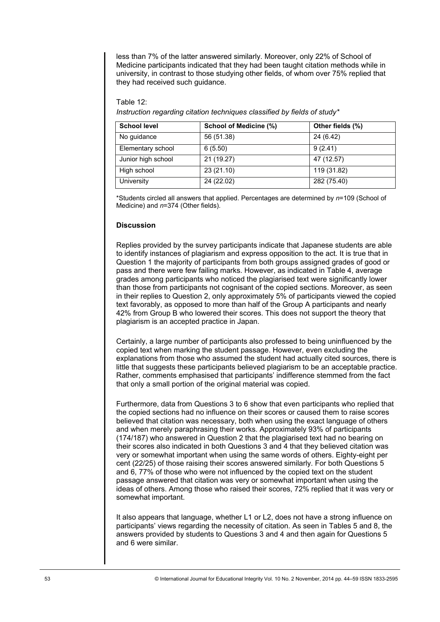less than 7% of the latter answered similarly. Moreover, only 22% of School of Medicine participants indicated that they had been taught citation methods while in university, in contrast to those studying other fields, of whom over 75% replied that they had received such guidance.

## Table 12:

*Instruction regarding citation techniques classified by fields of study\** 

| <b>School level</b> | School of Medicine (%) | Other fields (%) |
|---------------------|------------------------|------------------|
| No guidance         | 56 (51.38)             | 24 (6.42)        |
| Elementary school   | 6(5.50)                | 9(2.41)          |
| Junior high school  | 21 (19.27)             | 47 (12.57)       |
| High school         | 23(21.10)              | 119 (31.82)      |
| University          | 24 (22.02)             | 282 (75.40)      |

\*Students circled all answers that applied. Percentages are determined by *n*=109 (School of Medicine) and *n*=374 (Other fields).

## **Discussion**

Replies provided by the survey participants indicate that Japanese students are able to identify instances of plagiarism and express opposition to the act. It is true that in Question 1 the majority of participants from both groups assigned grades of good or pass and there were few failing marks. However, as indicated in Table 4, average grades among participants who noticed the plagiarised text were significantly lower than those from participants not cognisant of the copied sections. Moreover, as seen in their replies to Question 2, only approximately 5% of participants viewed the copied text favorably, as opposed to more than half of the Group A participants and nearly 42% from Group B who lowered their scores. This does not support the theory that plagiarism is an accepted practice in Japan.

Certainly, a large number of participants also professed to being uninfluenced by the copied text when marking the student passage. However, even excluding the explanations from those who assumed the student had actually cited sources, there is little that suggests these participants believed plagiarism to be an acceptable practice. Rather, comments emphasised that participants' indifference stemmed from the fact that only a small portion of the original material was copied.

Furthermore, data from Questions 3 to 6 show that even participants who replied that the copied sections had no influence on their scores or caused them to raise scores believed that citation was necessary, both when using the exact language of others and when merely paraphrasing their works. Approximately 93% of participants (174/187) who answered in Question 2 that the plagiarised text had no bearing on their scores also indicated in both Questions 3 and 4 that they believed citation was very or somewhat important when using the same words of others. Eighty-eight per cent (22/25) of those raising their scores answered similarly. For both Questions 5 and 6, 77% of those who were not influenced by the copied text on the student passage answered that citation was very or somewhat important when using the ideas of others. Among those who raised their scores, 72% replied that it was very or somewhat important. School evel and School of Medicine (%) Other fields (%)<br>
Elementary school of 6.500 of Medicine (%)  $\frac{9(241)}{47(2.26) + 119(2.82)}$ <br>
Elementary school 21 (15.22)<br>
University Vol. 22 (27.10)  $\frac{1}{24(2.22)}$ <br>
University Vict

It also appears that language, whether L1 or L2, does not have a strong influence on participants' views regarding the necessity of citation. As seen in Tables 5 and 8, the answers provided by students to Questions 3 and 4 and then again for Questions 5 and 6 were similar.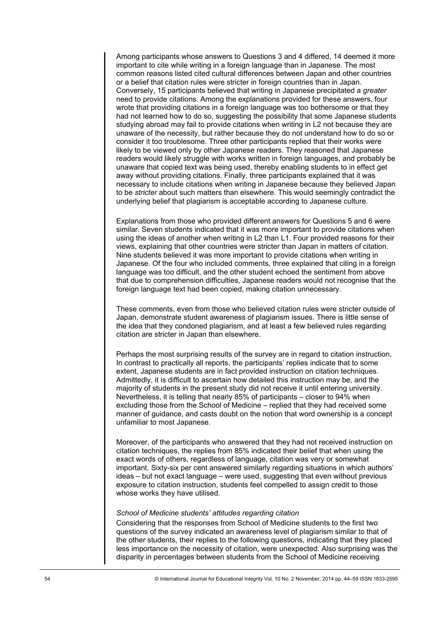Among participants whose answers to Questions 3 and 4 differed, 14 deemed it more important to cite while writing in a foreign language than in Japanese. The most common reasons listed cited cultural differences between Japan and other countries or a belief that citation rules were stricter in foreign countries than in Japan. Conversely, 15 participants believed that writing in Japanese precipitated a *greater* need to provide citations. Among the explanations provided for these answers, four wrote that providing citations in a foreign language was too bothersome or that they had not learned how to do so, suggesting the possibility that some Japanese students studying abroad may fail to provide citations when writing in L2 not because they are unaware of the necessity, but rather because they do not understand how to do so or consider it too troublesome. Three other participants replied that their works were likely to be viewed only by other Japanese readers. They reasoned that Japanese readers would likely struggle with works written in foreign languages, and probably be unaware that copied text was being used, thereby enabling students to in effect get away without providing citations. Finally, three participants explained that it was necessary to include citations when writing in Japanese because they believed Japan to be *stricter* about such matters than elsewhere. This would seemingly contradict the underlying belief that plagiarism is acceptable according to Japanese culture.

Explanations from those who provided different answers for Questions 5 and 6 were similar. Seven students indicated that it was more important to provide citations when using the ideas of another when writing in L2 than L1. Four provided reasons for their views, explaining that other countries were stricter than Japan in matters of citation. Nine students believed it was more important to provide citations when writing in Japanese. Of the four who included comments, three explained that citing in a foreign language was too difficult, and the other student echoed the sentiment from above that due to comprehension difficulties, Japanese readers would not recognise that the foreign language text had been copied, making citation unnecessary.

These comments, even from those who believed citation rules were stricter outside of Japan, demonstrate student awareness of plagiarism issues. There is little sense of the idea that they condoned plagiarism, and at least a few believed rules regarding citation are stricter in Japan than elsewhere.

Perhaps the most surprising results of the survey are in regard to citation instruction. In contrast to practically all reports, the participants' replies indicate that to some extent, Japanese students are in fact provided instruction on citation techniques. Admittedly, it is difficult to ascertain how detailed this instruction may be, and the majority of students in the present study did not receive it until entering university. Nevertheless, it is telling that nearly 85% of participants – closer to 94% when excluding those from the School of Medicine – replied that they had received some manner of guidance, and casts doubt on the notion that word ownership is a concept unfamiliar to most Japanese.

Moreover, of the participants who answered that they had not received instruction on citation techniques, the replies from 85% indicated their belief that when using the exact words of others, regardless of language, citation was very or somewhat important. Sixty-six per cent answered similarly regarding situations in which authors' ideas – but not exact language – were used, suggesting that even without previous exposure to citation instruction, students feel compelled to assign credit to those whose works they have utilised.

## *School of Medicine students' attitudes regarding citation*

Considering that the responses from School of Medicine students to the first two questions of the survey indicated an awareness level of plagiarism similar to that of the other students, their replies to the following questions, indicating that they placed less importance on the necessity of citation, were unexpected. Also surprising was the disparity in percentages between students from the School of Medicine receiving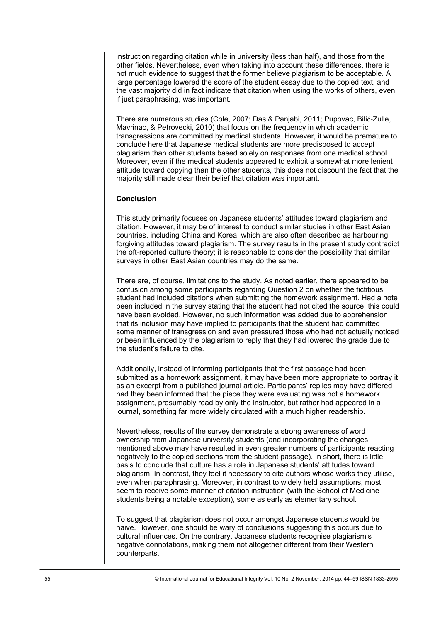instruction regarding citation while in university (less than half), and those from the other fields. Nevertheless, even when taking into account these differences, there is not much evidence to suggest that the former believe plagiarism to be acceptable. A large percentage lowered the score of the student essay due to the copied text, and the vast majority did in fact indicate that citation when using the works of others, even if just paraphrasing, was important.

There are numerous studies (Cole, 2007; Das & Panjabi, 2011; Pupovac, Bilić-Zulle, Mavrinac, & Petrovecki, 2010) that focus on the frequency in which academic transgressions are committed by medical students. However, it would be premature to conclude here that Japanese medical students are more predisposed to accept plagiarism than other students based solely on responses from one medical school. Moreover, even if the medical students appeared to exhibit a somewhat more lenient attitude toward copying than the other students, this does not discount the fact that the majority still made clear their belief that citation was important.

## **Conclusion**

This study primarily focuses on Japanese students' attitudes toward plagiarism and citation. However, it may be of interest to conduct similar studies in other East Asian countries, including China and Korea, which are also often described as harbouring forgiving attitudes toward plagiarism. The survey results in the present study contradict the oft-reported culture theory; it is reasonable to consider the possibility that similar surveys in other East Asian countries may do the same.

There are, of course, limitations to the study. As noted earlier, there appeared to be confusion among some participants regarding Question 2 on whether the fictitious student had included citations when submitting the homework assignment. Had a note been included in the survey stating that the student had not cited the source, this could have been avoided. However, no such information was added due to apprehension that its inclusion may have implied to participants that the student had committed some manner of transgression and even pressured those who had not actually noticed or been influenced by the plagiarism to reply that they had lowered the grade due to the student's failure to cite.

Additionally, instead of informing participants that the first passage had been submitted as a homework assignment, it may have been more appropriate to portray it as an excerpt from a published journal article. Participants' replies may have differed had they been informed that the piece they were evaluating was not a homework assignment, presumably read by only the instructor, but rather had appeared in a journal, something far more widely circulated with a much higher readership.

Nevertheless, results of the survey demonstrate a strong awareness of word ownership from Japanese university students (and incorporating the changes mentioned above may have resulted in even greater numbers of participants reacting negatively to the copied sections from the student passage). In short, there is little basis to conclude that culture has a role in Japanese students' attitudes toward plagiarism. In contrast, they feel it necessary to cite authors whose works they utilise, even when paraphrasing. Moreover, in contrast to widely held assumptions, most seem to receive some manner of citation instruction (with the School of Medicine students being a notable exception), some as early as elementary school.

To suggest that plagiarism does not occur amongst Japanese students would be naive. However, one should be wary of conclusions suggesting this occurs due to cultural influences. On the contrary, Japanese students recognise plagiarism's negative connotations, making them not altogether different from their Western counterparts.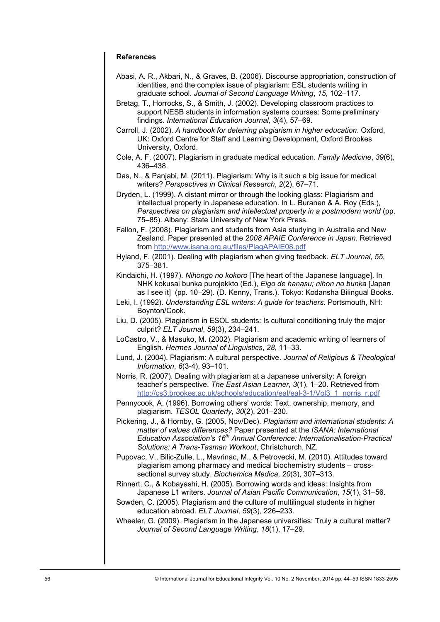## **References**

- Abasi, A. R., Akbari, N., & Graves, B. (2006). Discourse appropriation, construction of identities, and the complex issue of plagiarism: ESL students writing in graduate school. *Journal of Second Language Writing*, *15*, 102–117.
- Bretag, T., Horrocks, S., & Smith, J. (2002). Developing classroom practices to support NESB students in information systems courses: Some preliminary findings. *International Education Journal*, *3*(4), 57–69.
- Carroll, J. (2002). *A handbook for deterring plagiarism in higher education*. Oxford, UK: Oxford Centre for Staff and Learning Development, Oxford Brookes University, Oxford.
- Cole, A. F. (2007). Plagiarism in graduate medical education. *Family Medicine*, *39*(6), 436–438.
- Das, N., & Panjabi, M. (2011). Plagiarism: Why is it such a big issue for medical writers? *Perspectives in Clinical Research*, *2*(2), 67–71.
- Dryden, L. (1999). A distant mirror or through the looking glass: Plagiarism and intellectual property in Japanese education. In L. Buranen & A. Roy (Eds.), *Perspectives on plagiarism and intellectual property in a postmodern world (pp.* 75–85). Albany: State University of New York Press.
- Fallon, F. (2008). Plagiarism and students from Asia studying in Australia and New Zealand. Paper presented at the *2008 APAIE Conference in Japan*. Retrieved from <http://www.isana.org.au/files/PlagAPAIE08.pdf>
- Hyland, F. (2001). Dealing with plagiarism when giving feedback. *ELT Journal*, *55*, 375–381.
- Kindaichi, H. (1997). *Nihongo no kokoro* [The heart of the Japanese language]. In NHK kokusai bunka purojekkto (Ed.), *Eigo de hanasu; nihon no bunka* [Japan as I see it] (pp. 10–29). (D. Kenny, Trans.). Tokyo: Kodansha Bilingual Books.
- Leki, I. (1992). *Understanding ESL writers: A guide for teachers*. Portsmouth, NH: Boynton/Cook.
- Liu, D. (2005). Plagiarism in ESOL students: Is cultural conditioning truly the major culprit? *ELT Journal*, *59*(3), 234–241.
- LoCastro, V., & Masuko, M. (2002). Plagiarism and academic writing of learners of English. *Hermes Journal of Linguistics*, *28*, 11–33.
- Lund, J. (2004). Plagiarism: A cultural perspective. *Journal of Religious & Theological Information*, *6*(3-4), 93–101.
- Norris, R. (2007). Dealing with plagiarism at a Japanese university: A foreign teacher's perspective. *The East Asian Learner*, *3*(1), 1–20. Retrieved from [http://cs3.brookes.ac.uk/schools/education/eal/eal-3-1/Vol3\\_1\\_norris\\_r.pdf](http://cs3.brookes.ac.uk/schools/education/eal/eal-3-1/Vol3_1_norris_r.pdf)
- Pennycook, A. (1996). Borrowing others' words: Text, ownership, memory, and plagiarism. *TESOL Quarterly*, *30*(2), 201–230.
- Pickering, J., & Hornby, G. (2005, Nov/Dec). *Plagiarism and international students: A matter of values differences?* Paper presented at the *ISANA: International Education Association's 16th Annual Conference: Internationalisation-Practical Solutions: A Trans-Tasman Workout*, Christchurch, NZ.
- Pupovac, V., Bilic-Zulle, L., Mavrinac, M., & Petrovecki, M. (2010). Attitudes toward plagiarism among pharmacy and medical biochemistry students – crosssectional survey study. *Biochemica Medica*, *20*(3), 307–313.
- Rinnert, C., & Kobayashi, H. (2005). Borrowing words and ideas: Insights from Japanese L1 writers. *Journal of Asian Pacific Communication*, *15*(1), 31–56.
- Sowden, C. (2005). Plagiarism and the culture of multilingual students in higher education abroad. *ELT Journal*, *59*(3), 226–233.
- Wheeler, G. (2009). Plagiarism in the Japanese universities: Truly a cultural matter? *Journal of Second Language Writing*, *18*(1), 17–29.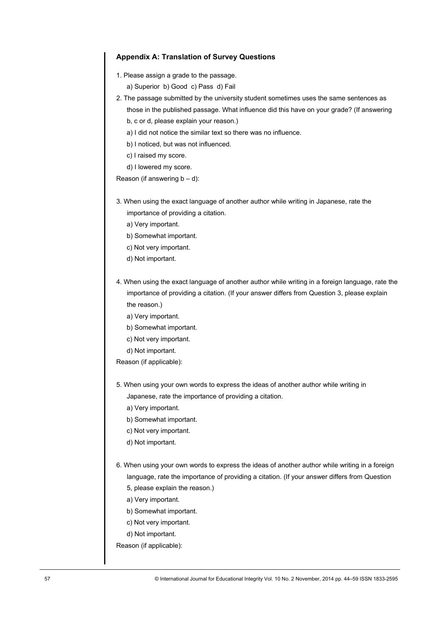## **Appendix A: Translation of Survey Questions**

- 1. Please assign a grade to the passage.
	- a) Superior b) Good c) Pass d) Fail
- 2. The passage submitted by the university student sometimes uses the same sentences as those in the published passage. What influence did this have on your grade? (If answering
	- b, c or d, please explain your reason.)
	- a) I did not notice the similar text so there was no influence.
	- b) I noticed, but was not influenced.
	- c) I raised my score.
	- d) I lowered my score.

Reason (if answering  $b - d$ ):

- 3. When using the exact language of another author while writing in Japanese, rate the importance of providing a citation.
	- a) Very important.
	- b) Somewhat important.
	- c) Not very important.
	- d) Not important.
- 4. When using the exact language of another author while writing in a foreign language, rate the importance of providing a citation. (If your answer differs from Question 3, please explain the reason.)
	- a) Very important.
	- b) Somewhat important.
	- c) Not very important.
	- d) Not important.
- Reason (if applicable):
- 5. When using your own words to express the ideas of another author while writing in Japanese, rate the importance of providing a citation.
	- a) Very important.
	- b) Somewhat important.
	- c) Not very important.
	- d) Not important.
- 6. When using your own words to express the ideas of another author while writing in a foreign language, rate the importance of providing a citation. (If your answer differs from Question
	- 5, please explain the reason.)
	- a) Very important.
	- b) Somewhat important.
	- c) Not very important.
	- d) Not important.

Reason (if applicable):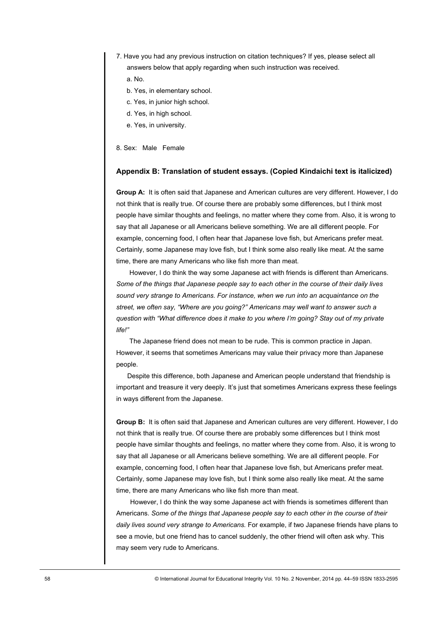- 7. Have you had any previous instruction on citation techniques? If yes, please select all answers below that apply regarding when such instruction was received.
	- a. No.
	- b. Yes, in elementary school.
	- c. Yes, in junior high school.
	- d. Yes, in high school.
	- e. Yes, in university.
- 8. Sex: Male Female

## **Appendix B: Translation of student essays. (Copied Kindaichi text is italicized)**

**Group A:** It is often said that Japanese and American cultures are very different. However, I do not think that is really true. Of course there are probably some differences, but I think most people have similar thoughts and feelings, no matter where they come from. Also, it is wrong to say that all Japanese or all Americans believe something. We are all different people. For example, concerning food, I often hear that Japanese love fish, but Americans prefer meat. Certainly, some Japanese may love fish, but I think some also really like meat. At the same time, there are many Americans who like fish more than meat.

However, I do think the way some Japanese act with friends is different than Americans. *Some of the things that Japanese people say to each other in the course of their daily lives sound very strange to Americans. For instance, when we run into an acquaintance on the street, we often say, "Where are you going?" Americans may well want to answer such a question with "What difference does it make to you where I'm going? Stay out of my private life!"* 

The Japanese friend does not mean to be rude. This is common practice in Japan. However, it seems that sometimes Americans may value their privacy more than Japanese people.

Despite this difference, both Japanese and American people understand that friendship is important and treasure it very deeply. It's just that sometimes Americans express these feelings in ways different from the Japanese.

**Group B:** It is often said that Japanese and American cultures are very different. However, I do not think that is really true. Of course there are probably some differences but I think most people have similar thoughts and feelings, no matter where they come from. Also, it is wrong to say that all Japanese or all Americans believe something. We are all different people. For example, concerning food, I often hear that Japanese love fish, but Americans prefer meat. Certainly, some Japanese may love fish, but I think some also really like meat. At the same time, there are many Americans who like fish more than meat.

However, I do think the way some Japanese act with friends is sometimes different than Americans. *Some of the things that Japanese people say to each other in the course of their daily lives sound very strange to Americans.* For example, if two Japanese friends have plans to see a movie, but one friend has to cancel suddenly, the other friend will often ask why. This may seem very rude to Americans.